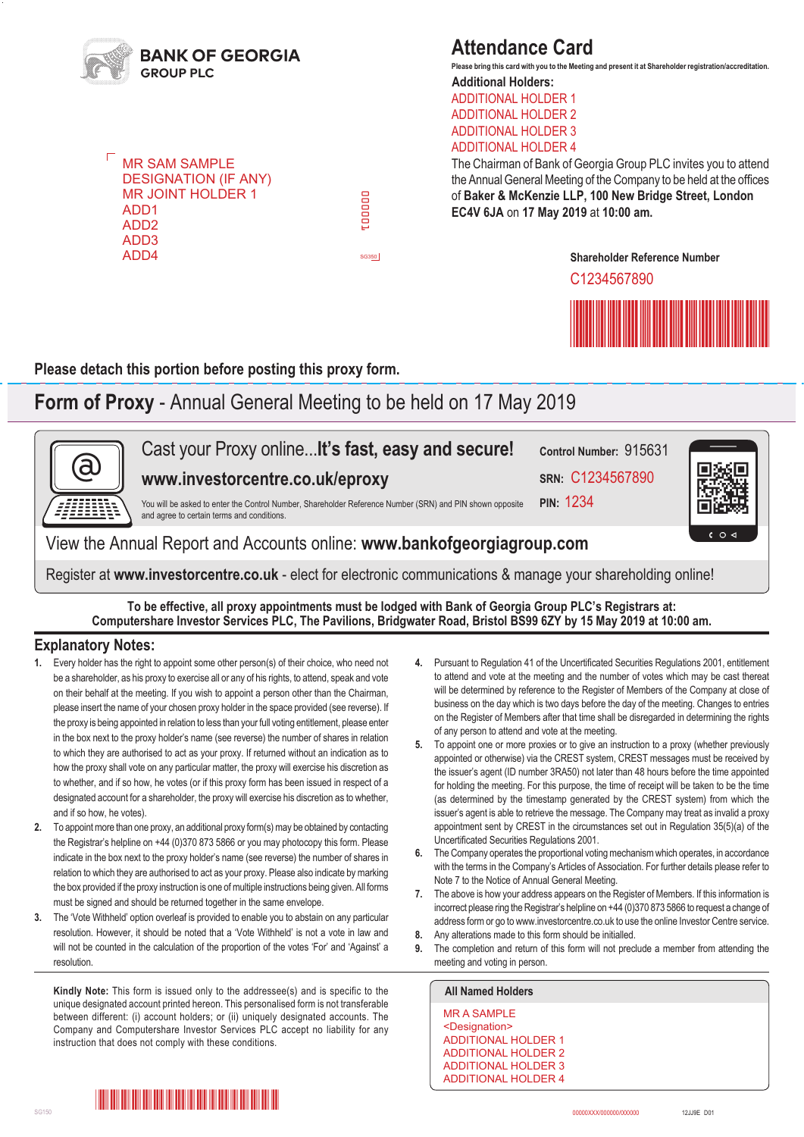

**MR SAM SAMPLE** DESIGNATION (IF ANY) MR JOINT HOLDER 1 ADD1 ADD2 ADD3 ADD4

## **Attendance Card**

**Additional Holders: Please bring this card with you to the Meeting and present it at Shareholder registration/accreditation.**

ADDITIONAL HOLDER 1 ADDITIONAL HOLDER 2 ADDITIONAL HOLDER 3 ADDITIONAL HOLDER 4

The Chairman of Bank of Georgia Group PLC invites you to attend the Annual General Meeting of the Company to be held at the offices of **Baker & McKenzie LLP, 100 New Bridge Street, London EC4V 6JA** on **17 May 2019** at **10:00 am.**

**Shareholder Reference Number**

C1234567890



**Please detach this portion before posting this proxy form.**

## **Form of Proxy** - Annual General Meeting to be held on 17 May 2019

000001

DOOD

SG350



**To be effective, all proxy appointments must be lodged with Bank of Georgia Group PLC's Registrars at: Computershare Investor Services PLC, The Pavilions, Bridgwater Road, Bristol BS99 6ZY by 15 May 2019 at 10:00 am.**

#### **Explanatory Notes:**

- **1.** Every holder has the right to appoint some other person(s) of their choice, who need not be a shareholder, as his proxy to exercise all or any of his rights, to attend, speak and vote on their behalf at the meeting. If you wish to appoint a person other than the Chairman, please insert the name of your chosen proxy holder in the space provided (see reverse). If the proxy is being appointed in relation to less than your full voting entitlement, please enter in the box next to the proxy holder's name (see reverse) the number of shares in relation to which they are authorised to act as your proxy. If returned without an indication as to how the proxy shall vote on any particular matter, the proxy will exercise his discretion as to whether, and if so how, he votes (or if this proxy form has been issued in respect of a designated account for a shareholder, the proxy will exercise his discretion as to whether, and if so how, he votes).
- **2.** To appoint more than one proxy, an additional proxy form(s) may be obtained by contacting the Registrar's helpline on +44 (0)370 873 5866 or you may photocopy this form. Please indicate in the box next to the proxy holder's name (see reverse) the number of shares in relation to which they are authorised to act as your proxy. Please also indicate by marking the box provided if the proxy instruction is one of multiple instructions being given. All forms must be signed and should be returned together in the same envelope.
- **3.** The 'Vote Withheld' option overleaf is provided to enable you to abstain on any particular resolution. However, it should be noted that a 'Vote Withheld' is not a vote in law and will not be counted in the calculation of the proportion of the votes 'For' and 'Against' a resolution.

**Kindly Note:** This form is issued only to the addressee(s) and is specific to the **All Named Holders** unique designated account printed hereon. This personalised form is not transferable between different: (i) account holders; or (ii) uniquely designated accounts. The Company and Computershare Investor Services PLC accept no liability for any instruction that does not comply with these conditions.

- 4. Pursuant to Regulation 41 of the Uncertificated Securities Regulations 2001, entitlement to attend and vote at the meeting and the number of votes which may be cast thereat will be determined by reference to the Register of Members of the Company at close of business on the day which is two days before the day of the meeting. Changes to entries on the Register of Members after that time shall be disregarded in determining the rights of any person to attend and vote at the meeting.
- **5.** To appoint one or more proxies or to give an instruction to a proxy (whether previously appointed or otherwise) via the CREST system, CREST messages must be received by the issuer's agent (ID number 3RA50) not later than 48 hours before the time appointed for holding the meeting. For this purpose, the time of receipt will be taken to be the time (as determined by the timestamp generated by the CREST system) from which the issuer's agent is able to retrieve the message. The Company may treat as invalid a proxy appointment sent by CREST in the circumstances set out in Regulation 35(5)(a) of the Uncertificated Securities Regulations 2001.
- **6.** The Company operates the proportional voting mechanism which operates, in accordance with the terms in the Company's Articles of Association. For further details please refer to Note 7 to the Notice of Annual General Meeting.
- **7.** The above is how your address appears on the Register of Members. If this information is incorrect please ring the Registrar's helpline on +44 (0)370 873 5866 to request a change of address form or go to www.investorcentre.co.uk to use the online Investor Centre service.
- **8.** Any alterations made to this form should be initialled.
- **9.** The completion and return of this form will not preclude a member from attending the meeting and voting in person.

MR A SAMPLE <Designation> ADDITIONAL HOLDER 1 ADDITIONAL HOLDER 2 ADDITIONAL HOLDER 3 ADDITIONAL HOLDER 4

\*000001010101000\*